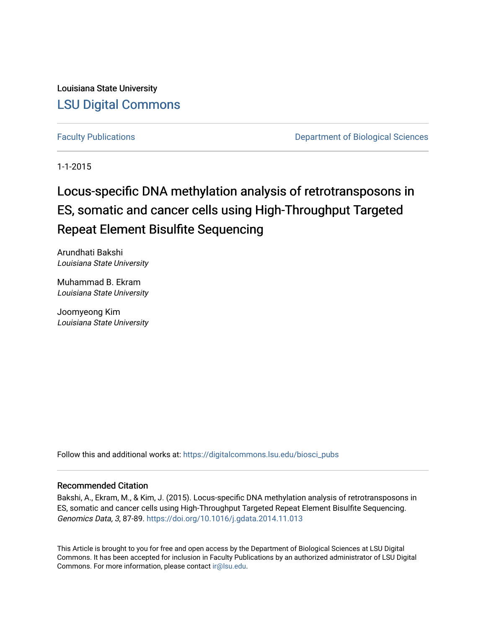Louisiana State University [LSU Digital Commons](https://digitalcommons.lsu.edu/)

[Faculty Publications](https://digitalcommons.lsu.edu/biosci_pubs) **Exercise 2 and Table 2 and Table 2 and Table 2 and Table 2 and Table 2 and Table 2 and Table 2 and Table 2 and Table 2 and Table 2 and Table 2 and Table 2 and Table 2 and Table 2 and Table 2 and Table** 

1-1-2015

# Locus-specific DNA methylation analysis of retrotransposons in ES, somatic and cancer cells using High-Throughput Targeted Repeat Element Bisulfite Sequencing

Arundhati Bakshi Louisiana State University

Muhammad B. Ekram Louisiana State University

Joomyeong Kim Louisiana State University

Follow this and additional works at: [https://digitalcommons.lsu.edu/biosci\\_pubs](https://digitalcommons.lsu.edu/biosci_pubs?utm_source=digitalcommons.lsu.edu%2Fbiosci_pubs%2F1864&utm_medium=PDF&utm_campaign=PDFCoverPages)

### Recommended Citation

Bakshi, A., Ekram, M., & Kim, J. (2015). Locus-specific DNA methylation analysis of retrotransposons in ES, somatic and cancer cells using High-Throughput Targeted Repeat Element Bisulfite Sequencing. Genomics Data, 3, 87-89. <https://doi.org/10.1016/j.gdata.2014.11.013>

This Article is brought to you for free and open access by the Department of Biological Sciences at LSU Digital Commons. It has been accepted for inclusion in Faculty Publications by an authorized administrator of LSU Digital Commons. For more information, please contact [ir@lsu.edu](mailto:ir@lsu.edu).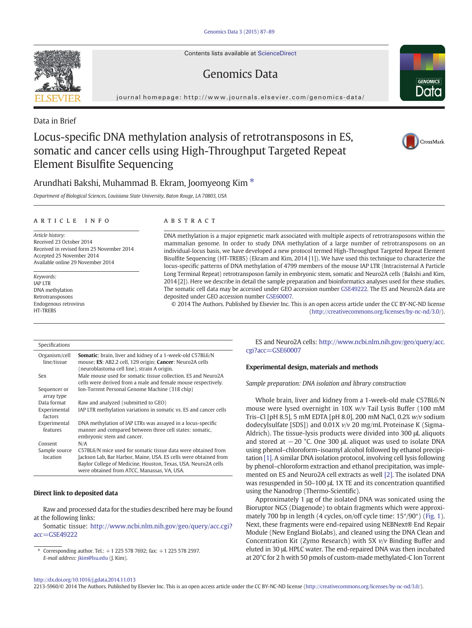Contents lists available at [ScienceDirect](http://www.sciencedirect.com/science/journal/22135960)

## Genomics Data

journal homepage: [http://www.journals.elsevier.com/genomics-data/](http://www.journals.elsevier.com/genomicsata/)



### Arundhati Bakshi, Muhammad B. Ekram, Joomyeong Kim<sup>\*</sup>

Department of Biological Sciences, Louisiana State University, Baton Rouge, LA 70803, USA

#### article info abstract

Article history: Received 23 October 2014 Received in revised form 25 November 2014 Accepted 25 November 2014 Available online 29 November 2014

Keywords: IAP LTR DNA methylation Retrotransposons Endogenous retrovirus **HT-TREBS** 

Specifications

DNA methylation is a major epigenetic mark associated with multiple aspects of retrotransposons within the mammalian genome. In order to study DNA methylation of a large number of retrotransposons on an individual-locus basis, we have developed a new protocol termed High-Throughput Targeted Repeat Element Bisulfite Sequencing (HT-TREBS) (Ekram and Kim, 2014 [1]). We have used this technique to characterize the locus-specific patterns of DNA methylation of 4799 members of the mouse IAP LTR (Intracisternal A Particle Long Terminal Repeat) retrotransposon family in embryonic stem, somatic and Neuro2A cells (Bakshi and Kim, 2014 [2]). Here we describe in detail the sample preparation and bioinformatics analyses used for these studies. The somatic cell data may be accessed under GEO accession number [GSE49222](ncbi-geo:GSE49222). The ES and Neuro2A data are deposited under GEO accession number [GSE60007.](ncbi-geo:GSE60007)

© 2014 The Authors. Published by Elsevier Inc. This is an open access article under the CC BY-NC-ND license ([http://creativecommons.org/licenses/by-nc-nd/3.0/\)](http://creativecommons.org/licenses/by-nc-nd/3.0/).

Organism/cell line/tissue Somatic: brain, liver and kidney of a 1-week-old C57BL6/N mouse; ES: AB2.2 cell, 129 origin; Cancer: Neuro2A cells (neuroblastoma cell line), strain A origin. Sex Male mouse used for somatic tissue collection. ES and Neuro2A cells were derived from a male and female mouse respectively. Sequencer or array type Ion-Torrent Personal Genome Machine (318 chip) Data format Raw and analyzed (submitted to GEO) Experimental factors IAP LTR methylation variations in somatic vs. ES and cancer cells Experimental features DNA methylation of IAP LTRs was assayed in a locus-specific manner and compared between three cell states: somatic, embryonic stem and cancer. Consent N/A Sample source location C57BL6/N mice used for somatic tissue data were obtained from Jackson Lab, Bar Harbor, Maine, USA. ES cells were obtained from Baylor College of Medicine, Houston, Texas, USA. Neuro2A cells were obtained from ATCC, Manassas, VA, USA.

#### Direct link to deposited data

Raw and processed data for the studies described here may be found at the following links:

Somatic tissue: [http://www.ncbi.nlm.nih.gov/geo/query/acc.cgi?](http://www.ncbi.nlm.nih.gov/geo/query/acc.cgi?acc=GSE49222) [acc=GSE49222](http://www.ncbi.nlm.nih.gov/geo/query/acc.cgi?acc=GSE49222)

⁎ Corresponding author. Tel.: +1 225 578 7692; fax: +1 225 578 2597. E-mail address: [jkim@lsu.edu](mailto:jkim@lsu.edu) (J. Kim).

ES and Neuro2A cells: [http://www.ncbi.nlm.nih.gov/geo/query/acc.](http://www.ncbi.nlm.nih.gov/geo/query/acc.cgi?acc=GSE60007) [cgi?acc=GSE60007](http://www.ncbi.nlm.nih.gov/geo/query/acc.cgi?acc=GSE60007)

#### Experimental design, materials and methods

Sample preparation: DNA isolation and library construction

Whole brain, liver and kidney from a 1-week-old male C57BL6/N mouse were lysed overnight in 10X w/v Tail Lysis Buffer (100 mM Tris–Cl [pH 8.5], 5 mM EDTA [pH 8.0], 200 mM NaCl, 0.2% w/v sodium dodecylsulfate [SDS]) and  $0.01X v/v$  20 mg/mL Proteinase K (Sigma-Aldrich). The tissue-lysis products were divided into 300 μL aliquots and stored at −20 °C. One 300 μL aliquot was used to isolate DNA using phenol–chloroform–isoamyl alcohol followed by ethanol precipitation [\[1\].](#page-3-0) A similar DNA isolation protocol, involving cell lysis following by phenol–chloroform extraction and ethanol precipitation, was implemented on ES and Neuro2A cell extracts as well [\[2\]](#page-3-0). The isolated DNA was resuspended in 50–100 μL 1X TE and its concentration quantified using the Nanodrop (Thermo-Scientific).

Approximately 1 μg of the isolated DNA was sonicated using the Bioruptor NGS (Diagenode) to obtain fragments which were approximately 700 bp in length (4 cycles, on/off cycle time: 15″/90″) [\(Fig. 1](#page-2-0)). Next, these fragments were end-repaired using NEBNext® End Repair Module (New England BioLabs), and cleaned using the DNA Clean and Concentration Kit (Zymo Research) with 5X v/v Binding Buffer and eluted in 30 μL HPLC water. The end-repaired DNA was then incubated at 20°C for 2 h with 50 pmols of custom-made methylated-C Ion Torrent

2213-5960/© 2014 The Authors. Published by Elsevier Inc. This is an open access article under the CC BY-NC-ND license ([http://creativecommons.org/licenses/by-nc-nd/3.0/\)](http://creativecommons.org/licenses/by-nc-nd/3.0/).



Data in Brief



CrossMark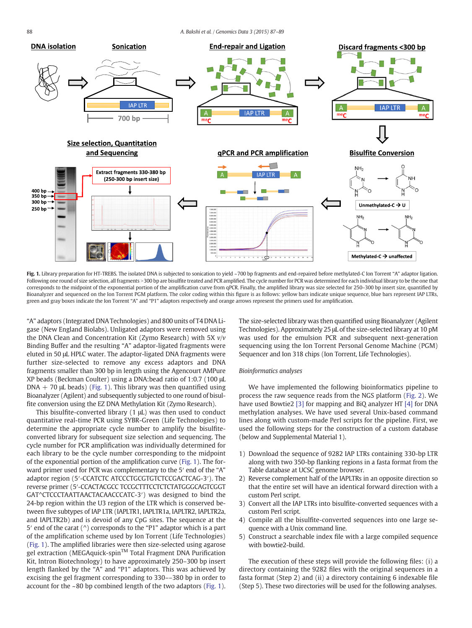<span id="page-2-0"></span>

Fig. 1. Library preparation for HT-TREBS. The isolated DNA is subjected to sonication to yield ~700 bp fragments and end-repaired before methylated-C lon Torrent "A" adaptor ligation. Following one round of size selection, all fragments >300 bp are bisulfite treated and PCR amplified. The cycle number for PCR was determined for each individual library to be the one that corresponds to the midpoint of the exponential portion of the amplification curve from qPCR. Finally, the amplified library was size selected for 250–300 bp insert size, quantified by Bioanalyzer and sequenced on the Ion Torrent PGM platform. The color coding within this figure is as follows: yellow bars indicate unique sequence, blue bars represent IAP LTRs, green and gray boxes indicate the Ion Torrent "A" and "P1" adaptors respectively and orange arrows represent the primers used for amplification.

"A" adaptors (Integrated DNA Technologies) and 800 units of T4 DNA Ligase (New England Biolabs). Unligated adaptors were removed using the DNA Clean and Concentration Kit (Zymo Research) with 5X  $v/v$ Binding Buffer and the resulting "A" adaptor-ligated fragments were eluted in 50 μL HPLC water. The adaptor-ligated DNA fragments were further size-selected to remove any excess adaptors and DNA fragments smaller than 300 bp in length using the Agencourt AMPure XP beads (Beckman Coulter) using a DNA:bead ratio of 1:0.7 (100 μL  $DNA + 70 \mu L$  beads) (Fig. 1). This library was then quantified using Bioanalyzer (Agilent) and subsequently subjected to one round of bisulfite conversion using the EZ DNA Methylation Kit (Zymo Research).

This bisulfite-converted library (1 μL) was then used to conduct quantitative real-time PCR using SYBR-Green (Life Technologies) to determine the appropriate cycle number to amplify the bisulfiteconverted library for subsequent size selection and sequencing. The cycle number for PCR amplification was individually determined for each library to be the cycle number corresponding to the midpoint of the exponential portion of the amplification curve (Fig. 1). The forward primer used for PCR was complementary to the 5' end of the "A" adaptor region (5′-CCATCTC ATCCCTGCGTGTCTCCGACTCAG-3′). The reverse primer (5′-CCACTACGCC TCCGCTTTCCTCTCTATGGGCAGTCGGT GAT^CTCCCTAATTAACTACAACCCATC-3′) was designed to bind the 24-bp region within the U3 region of the LTR which is conserved between five subtypes of IAP LTR (IAPLTR1, IAPLTR1a, IAPLTR2, IAPLTR2a, and IAPLTR2b) and is devoid of any CpG sites. The sequence at the 5′ end of the carat (^) corresponds to the "P1" adaptor which is a part of the amplification scheme used by Ion Torrent (Life Technologies) (Fig. 1). The amplified libraries were then size-selected using agarose gel extraction (MEGAquick-spin™ Total Fragment DNA Purification Kit, Intron Biotechnology) to have approximately 250–300 bp insert length flanked by the "A" and "P1" adaptors. This was achieved by excising the gel fragment corresponding to 330––380 bp in order to account for the ~80 bp combined length of the two adaptors (Fig. 1). The size-selected library was then quantified using Bioanalyzer (Agilent Technologies). Approximately 25 μL of the size-selected library at 10 pM was used for the emulsion PCR and subsequent next-generation sequencing using the Ion Torrent Personal Genome Machine (PGM) Sequencer and Ion 318 chips (Ion Torrent, Life Technologies).

#### Bioinformatics analyses

We have implemented the following bioinformatics pipeline to process the raw sequence reads from the NGS platform ([Fig. 2](#page-3-0)). We have used Bowtie2 [\[3\]](#page-3-0) for mapping and BiQ analyzer HT [\[4\]](#page-3-0) for DNA methylation analyses. We have used several Unix-based command lines along with custom-made Perl scripts for the pipeline. First, we used the following steps for the construction of a custom database (below and Supplemental Material 1).

- 1) Download the sequence of 9282 IAP LTRs containing 330-bp LTR along with two 350-bp flanking regions in a fasta format from the Table database at UCSC genome browser.
- 2) Reverse complement half of the IAPLTRs in an opposite direction so that the entire set will have an identical forward direction with a custom Perl script.
- 3) Convert all the IAP LTRs into bisulfite-converted sequences with a custom Perl script.
- 4) Compile all the bisulfite-converted sequences into one large sequence with a Unix command line.
- 5) Construct a searchable index file with a large compiled sequence with bowtie2-build.

The execution of these steps will provide the following files: (i) a directory containing the 9282 files with the original sequences in a fasta format (Step 2) and (ii) a directory containing 6 indexable file (Step 5). These two directories will be used for the following analyses.